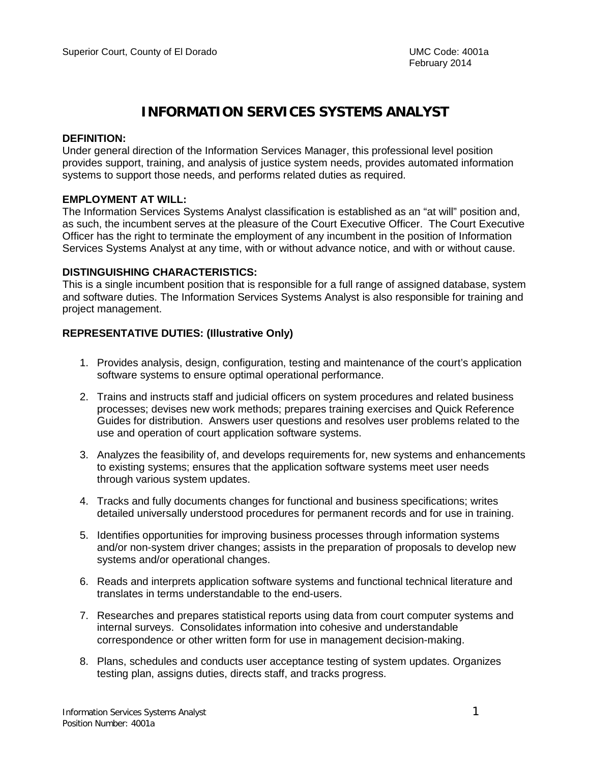# **INFORMATION SERVICES SYSTEMS ANALYST**

#### **DEFINITION:**

Under general direction of the Information Services Manager, this professional level position provides support, training, and analysis of justice system needs, provides automated information systems to support those needs, and performs related duties as required.

## **EMPLOYMENT AT WILL:**

The Information Services Systems Analyst classification is established as an "at will" position and, as such, the incumbent serves at the pleasure of the Court Executive Officer. The Court Executive Officer has the right to terminate the employment of any incumbent in the position of Information Services Systems Analyst at any time, with or without advance notice, and with or without cause.

#### **DISTINGUISHING CHARACTERISTICS:**

This is a single incumbent position that is responsible for a full range of assigned database, system and software duties. The Information Services Systems Analyst is also responsible for training and project management.

## **REPRESENTATIVE DUTIES: (Illustrative Only)**

- 1. Provides analysis, design, configuration, testing and maintenance of the court's application software systems to ensure optimal operational performance.
- 2. Trains and instructs staff and judicial officers on system procedures and related business processes; devises new work methods; prepares training exercises and Quick Reference Guides for distribution. Answers user questions and resolves user problems related to the use and operation of court application software systems.
- 3. Analyzes the feasibility of, and develops requirements for, new systems and enhancements to existing systems; ensures that the application software systems meet user needs through various system updates.
- 4. Tracks and fully documents changes for functional and business specifications; writes detailed universally understood procedures for permanent records and for use in training.
- 5. Identifies opportunities for improving business processes through information systems and/or non-system driver changes; assists in the preparation of proposals to develop new systems and/or operational changes.
- 6. Reads and interprets application software systems and functional technical literature and translates in terms understandable to the end-users.
- 7. Researches and prepares statistical reports using data from court computer systems and internal surveys. Consolidates information into cohesive and understandable correspondence or other written form for use in management decision-making.
- 8. Plans, schedules and conducts user acceptance testing of system updates. Organizes testing plan, assigns duties, directs staff, and tracks progress.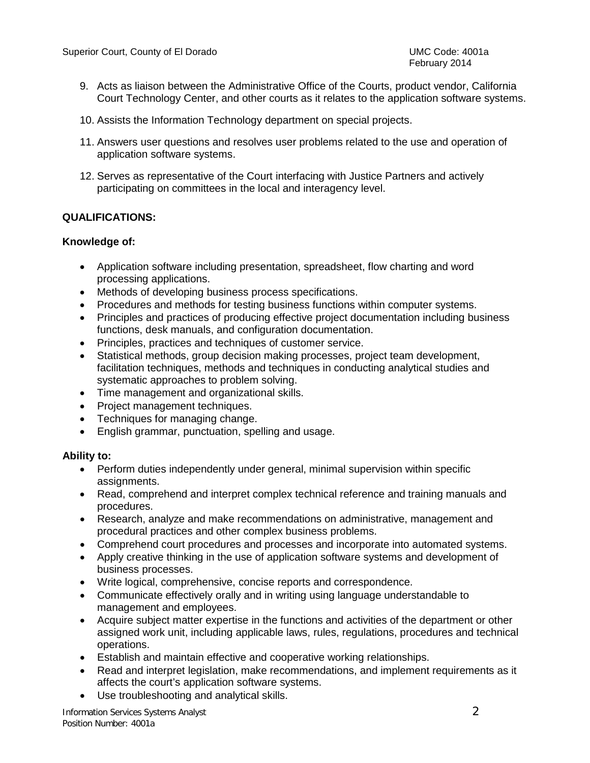- 9. Acts as liaison between the Administrative Office of the Courts, product vendor, California Court Technology Center, and other courts as it relates to the application software systems.
- 10. Assists the Information Technology department on special projects.
- 11. Answers user questions and resolves user problems related to the use and operation of application software systems.
- 12. Serves as representative of the Court interfacing with Justice Partners and actively participating on committees in the local and interagency level.

# **QUALIFICATIONS:**

## **Knowledge of:**

- Application software including presentation, spreadsheet, flow charting and word processing applications.
- Methods of developing business process specifications.
- Procedures and methods for testing business functions within computer systems.
- Principles and practices of producing effective project documentation including business functions, desk manuals, and configuration documentation.
- Principles, practices and techniques of customer service.
- Statistical methods, group decision making processes, project team development, facilitation techniques, methods and techniques in conducting analytical studies and systematic approaches to problem solving.
- Time management and organizational skills.
- Project management techniques.
- Techniques for managing change.
- English grammar, punctuation, spelling and usage.

## **Ability to:**

- Perform duties independently under general, minimal supervision within specific assignments.
- Read, comprehend and interpret complex technical reference and training manuals and procedures.
- Research, analyze and make recommendations on administrative, management and procedural practices and other complex business problems.
- Comprehend court procedures and processes and incorporate into automated systems.
- Apply creative thinking in the use of application software systems and development of business processes.
- Write logical, comprehensive, concise reports and correspondence.
- Communicate effectively orally and in writing using language understandable to management and employees.
- Acquire subject matter expertise in the functions and activities of the department or other assigned work unit, including applicable laws, rules, regulations, procedures and technical operations.
- Establish and maintain effective and cooperative working relationships.
- Read and interpret legislation, make recommendations, and implement requirements as it affects the court's application software systems.
- Use troubleshooting and analytical skills.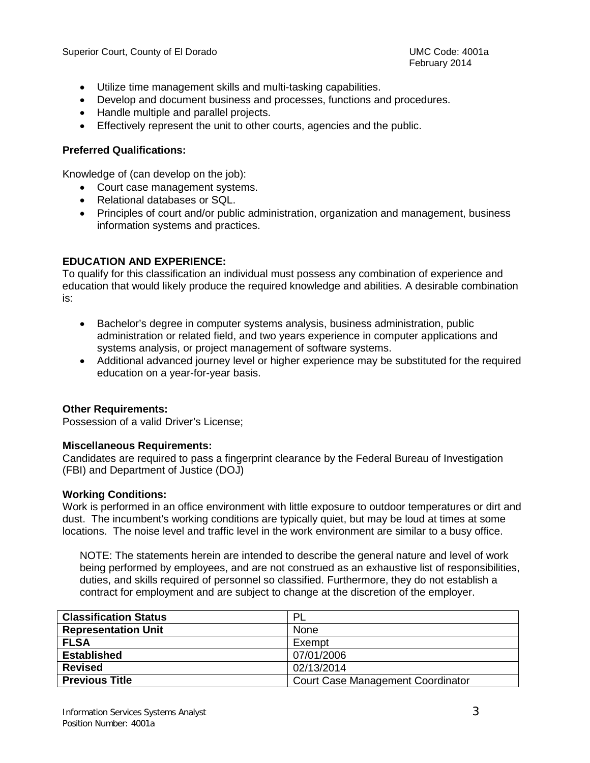- Utilize time management skills and multi-tasking capabilities.
- Develop and document business and processes, functions and procedures.
- Handle multiple and parallel projects.
- Effectively represent the unit to other courts, agencies and the public.

## **Preferred Qualifications:**

Knowledge of (can develop on the job):

- Court case management systems.
- Relational databases or SQL.
- Principles of court and/or public administration, organization and management, business information systems and practices.

## **EDUCATION AND EXPERIENCE:**

To qualify for this classification an individual must possess any combination of experience and education that would likely produce the required knowledge and abilities. A desirable combination is:

- Bachelor's degree in computer systems analysis, business administration, public administration or related field, and two years experience in computer applications and systems analysis, or project management of software systems.
- Additional advanced journey level or higher experience may be substituted for the required education on a year-for-year basis.

## **Other Requirements:**

Possession of a valid Driver's License;

## **Miscellaneous Requirements:**

Candidates are required to pass a fingerprint clearance by the Federal Bureau of Investigation (FBI) and Department of Justice (DOJ)

## **Working Conditions:**

Work is performed in an office environment with little exposure to outdoor temperatures or dirt and dust. The incumbent's working conditions are typically quiet, but may be loud at times at some locations. The noise level and traffic level in the work environment are similar to a busy office.

NOTE: The statements herein are intended to describe the general nature and level of work being performed by employees, and are not construed as an exhaustive list of responsibilities, duties, and skills required of personnel so classified. Furthermore, they do not establish a contract for employment and are subject to change at the discretion of the employer.

| <b>Classification Status</b> | -PL                                      |
|------------------------------|------------------------------------------|
| <b>Representation Unit</b>   | <b>None</b>                              |
| <b>FLSA</b>                  | Exempt                                   |
| <b>Established</b>           | 07/01/2006                               |
| <b>Revised</b>               | 02/13/2014                               |
| <b>Previous Title</b>        | <b>Court Case Management Coordinator</b> |